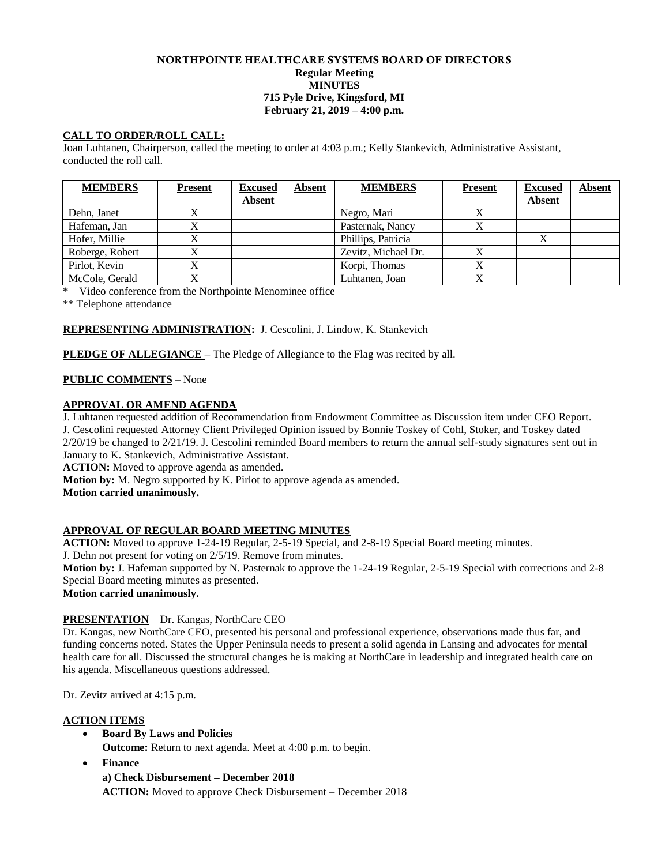## NORTHPOINTE HEALTHCARE SYSTEMS BOARD OF DIRECTORS **Regular Meeting MINUTES 715 Pyle Drive, Kingsford, MI February 21, 2019 – 4:00 p.m.**

# **CALL TO ORDER/ROLL CALL:**

Joan Luhtanen, Chairperson, called the meeting to order at 4:03 p.m.; Kelly Stankevich, Administrative Assistant, conducted the roll call.

| <b>MEMBERS</b>  | <b>Present</b> | <b>Excused</b> | <b>Absent</b> | <b>MEMBERS</b>      | <b>Present</b> | <b>Excused</b> | <b>Absent</b> |
|-----------------|----------------|----------------|---------------|---------------------|----------------|----------------|---------------|
|                 |                | <b>Absent</b>  |               |                     |                | <b>Absent</b>  |               |
| Dehn, Janet     |                |                |               | Negro, Mari         |                |                |               |
| Hafeman, Jan    |                |                |               | Pasternak, Nancy    |                |                |               |
| Hofer, Millie   |                |                |               | Phillips, Patricia  |                |                |               |
| Roberge, Robert |                |                |               | Zevitz, Michael Dr. |                |                |               |
| Pirlot, Kevin   |                |                |               | Korpi, Thomas       |                |                |               |
| McCole, Gerald  |                |                |               | Luhtanen, Joan      |                |                |               |

\* Video conference from the Northpointe Menominee office

\*\* Telephone attendance

# **REPRESENTING ADMINISTRATION:** J. Cescolini, J. Lindow, K. Stankevich

**PLEDGE OF ALLEGIANCE –** The Pledge of Allegiance to the Flag was recited by all.

# **PUBLIC COMMENTS** – None

# **APPROVAL OR AMEND AGENDA**

J. Luhtanen requested addition of Recommendation from Endowment Committee as Discussion item under CEO Report. J. Cescolini requested Attorney Client Privileged Opinion issued by Bonnie Toskey of Cohl, Stoker, and Toskey dated

 $2/20/19$  be changed to  $2/21/19$ . J. Cescolini reminded Board members to return the annual self-study signatures sent out in January to K. Stankevich, Administrative Assistant.

**ACTION:** Moved to approve agenda as amended.

**Motion by:** M. Negro supported by K. Pirlot to approve agenda as amended.

**Motion carried unanimously.**

## **APPROVAL OF REGULAR BOARD MEETING MINUTES**

**ACTION:** Moved to approve 1-24-19 Regular, 2-5-19 Special, and 2-8-19 Special Board meeting minutes.

J. Dehn not present for voting on 2/5/19. Remove from minutes.

**Motion by:** J. Hafeman supported by N. Pasternak to approve the 1-24-19 Regular, 2-5-19 Special with corrections and 2-8 Special Board meeting minutes as presented.

**Motion carried unanimously.** 

## **PRESENTATION** – Dr. Kangas, NorthCare CEO

Dr. Kangas, new NorthCare CEO, presented his personal and professional experience, observations made thus far, and funding concerns noted. States the Upper Peninsula needs to present a solid agenda in Lansing and advocates for mental health care for all. Discussed the structural changes he is making at NorthCare in leadership and integrated health care on his agenda. Miscellaneous questions addressed.

Dr. Zevitz arrived at 4:15 p.m.

## **ACTION ITEMS**

- **Board By Laws and Policies Outcome:** Return to next agenda. Meet at 4:00 p.m. to begin.
- **Finance**

**a) Check Disbursement – December 2018**

**ACTION:** Moved to approve Check Disbursement – December 2018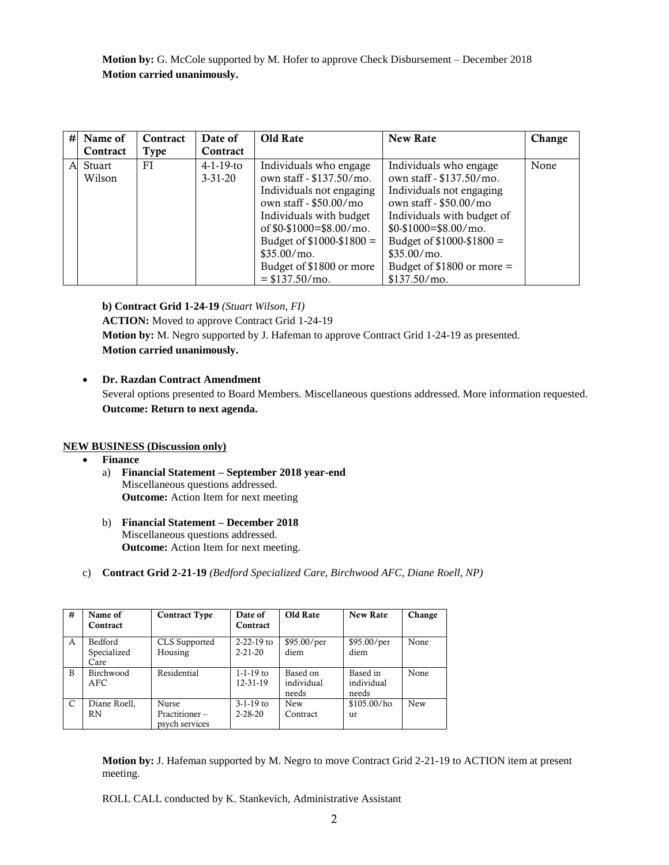**Motion by:** G. McCole supported by M. Hofer to approve Check Disbursement – December 2018 **Motion carried unanimously.**

| # | Name of<br>Contract | Contract | Date of<br>Contract | <b>Old Rate</b>             | <b>New Rate</b>             | Change |
|---|---------------------|----------|---------------------|-----------------------------|-----------------------------|--------|
|   |                     | Type     |                     |                             |                             |        |
| A | Stuart              | FI       | $4-1-19$ -to        | Individuals who engage      | Individuals who engage      | None   |
|   | Wilson              |          | $3 - 31 - 20$       | own staff - \$137.50/mo.    | own staff - \$137.50/mo.    |        |
|   |                     |          |                     | Individuals not engaging    | Individuals not engaging    |        |
|   |                     |          |                     | own staff - \$50.00/mo      | own staff - \$50.00/mo      |        |
|   |                     |          |                     | Individuals with budget     | Individuals with budget of  |        |
|   |                     |          |                     | of $$0-$1000=$ $$8.00/m$ o. | \$0-\$1000=\$8.00/mo.       |        |
|   |                     |          |                     | Budget of \$1000-\$1800 =   | Budget of $$1000 - $1800 =$ |        |
|   |                     |          |                     | $$35.00/mo$ .               | \$35.00/mo.                 |        |
|   |                     |          |                     | Budget of \$1800 or more    | Budget of $$1800$ or more = |        |
|   |                     |          |                     | $= $137.50/mo.$             | \$137.50/mo.                |        |

**b) Contract Grid 1-24-19** *(Stuart Wilson, FI)* **ACTION:** Moved to approve Contract Grid 1-24-19 **Motion by:** M. Negro supported by J. Hafeman to approve Contract Grid 1-24-19 as presented. **Motion carried unanimously.**

# **Dr. Razdan Contract Amendment**

Several options presented to Board Members. Miscellaneous questions addressed. More information requested. **Outcome: Return to next agenda.**

## **NEW BUSINESS (Discussion only)**

- **Finance**
	- a) **Financial Statement – September 2018 year-end** Miscellaneous questions addressed. **Outcome:** Action Item for next meeting
	- b) **Financial Statement – December 2018** Miscellaneous questions addressed. **Outcome:** Action Item for next meeting.
- c) **Contract Grid 2-21-19** *(Bedford Specialized Care, Birchwood AFC, Diane Roell, NP)*

| # | Name of<br>Contract                   | <b>Contract Type</b>                            | Date of<br>Contract               | Old Rate                        | <b>New Rate</b>                 | Change     |
|---|---------------------------------------|-------------------------------------------------|-----------------------------------|---------------------------------|---------------------------------|------------|
| A | <b>Bedford</b><br>Specialized<br>Care | CLS Supported<br>Housing                        | $2 - 22 - 19$ to<br>$2 - 21 - 20$ | \$95.00/per<br>diem             | \$95.00/per<br>diem             | None       |
| B | Birchwood<br>AFC.                     | Residential                                     | $1 - 1 - 19$ to<br>12-31-19       | Based on<br>individual<br>needs | Based in<br>individual<br>needs | None       |
| C | Diane Roell,<br><b>RN</b>             | <b>Nurse</b><br>Practitioner-<br>psych services | $3-1-19$ to<br>$2 - 28 - 20$      | <b>New</b><br>Contract          | \$105.00/ho<br>11r              | <b>New</b> |

**Motion by:** J. Hafeman supported by M. Negro to move Contract Grid 2-21-19 to ACTION item at present meeting.

ROLL CALL conducted by K. Stankevich, Administrative Assistant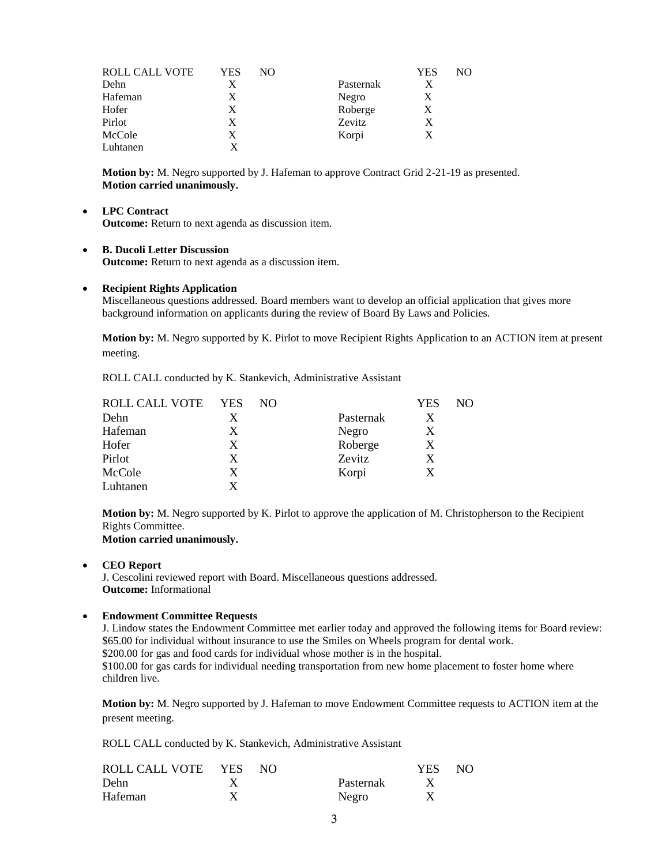| ROLL CALL VOTE | YES | NO |           | YES | NO. |
|----------------|-----|----|-----------|-----|-----|
| Dehn           | X   |    | Pasternak | Х   |     |
| Hafeman        | X   |    | Negro     | X   |     |
| Hofer          | X   |    | Roberge   | Χ   |     |
| Pirlot         | X   |    | Zevitz    | Х   |     |
| McCole         | X   |    | Korpi     | X   |     |
| Luhtanen       |     |    |           |     |     |

**Motion by:** M. Negro supported by J. Hafeman to approve Contract Grid 2-21-19 as presented. **Motion carried unanimously.** 

## **LPC Contract**

**Outcome:** Return to next agenda as discussion item.

#### **B. Ducoli Letter Discussion**

**Outcome:** Return to next agenda as a discussion item.

### **Recipient Rights Application**

Miscellaneous questions addressed. Board members want to develop an official application that gives more background information on applicants during the review of Board By Laws and Policies.

**Motion by:** M. Negro supported by K. Pirlot to move Recipient Rights Application to an ACTION item at present meeting.

ROLL CALL conducted by K. Stankevich, Administrative Assistant

| ROLL CALL VOTE | <b>YES</b> | NO. |           | <b>YES</b> | NO. |
|----------------|------------|-----|-----------|------------|-----|
| Dehn           | X          |     | Pasternak | Х          |     |
| Hafeman        | X          |     | Negro     | X          |     |
| Hofer          | X          |     | Roberge   | Х          |     |
| Pirlot         | X          |     | Zevitz    | X          |     |
| McCole         | X          |     | Korpi     | X          |     |
| Luhtanen       | x          |     |           |            |     |

**Motion by:** M. Negro supported by K. Pirlot to approve the application of M. Christopherson to the Recipient Rights Committee. **Motion carried unanimously.** 

 **CEO Report** J. Cescolini reviewed report with Board. Miscellaneous questions addressed. **Outcome:** Informational

## **Endowment Committee Requests**

J. Lindow states the Endowment Committee met earlier today and approved the following items for Board review: \$65.00 for individual without insurance to use the Smiles on Wheels program for dental work. \$200.00 for gas and food cards for individual whose mother is in the hospital. \$100.00 for gas cards for individual needing transportation from new home placement to foster home where children live.

**Motion by:** M. Negro supported by J. Hafeman to move Endowment Committee requests to ACTION item at the present meeting.

ROLL CALL conducted by K. Stankevich, Administrative Assistant

| ROLL CALL VOTE YES | N() |           | YES . | NO. |
|--------------------|-----|-----------|-------|-----|
| Dehn               |     | Pasternak |       |     |
| Hafeman            |     | Negro     |       |     |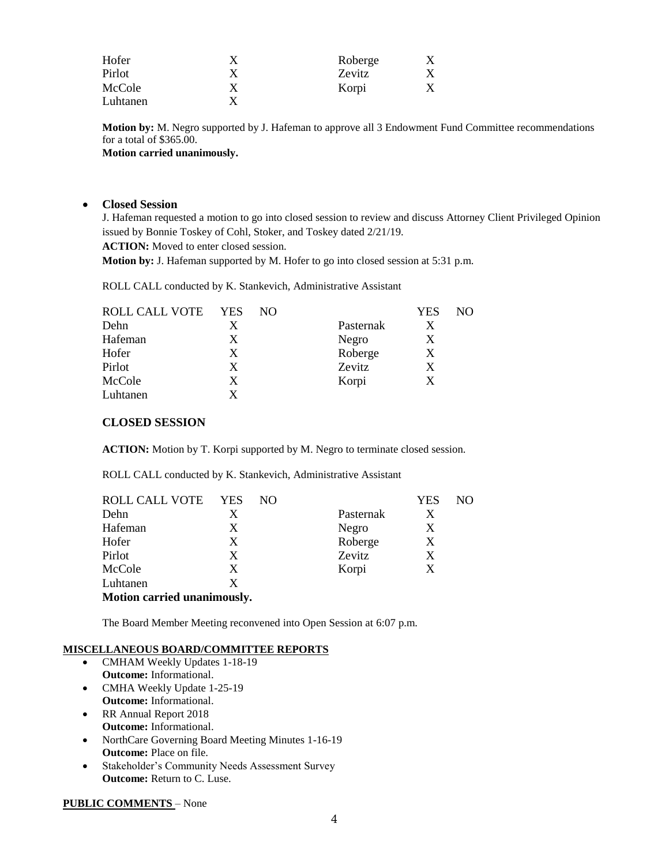| Hofer    |   | Roberge |  |
|----------|---|---------|--|
| Pirlot   | Х | Zevitz  |  |
| McCole   | X | Korpi   |  |
| Luhtanen |   |         |  |

**Motion by:** M. Negro supported by J. Hafeman to approve all 3 Endowment Fund Committee recommendations for a total of \$365.00.

**Motion carried unanimously.** 

# **Closed Session**

J. Hafeman requested a motion to go into closed session to review and discuss Attorney Client Privileged Opinion issued by Bonnie Toskey of Cohl, Stoker, and Toskey dated 2/21/19.

**ACTION:** Moved to enter closed session.

**Motion by:** J. Hafeman supported by M. Hofer to go into closed session at 5:31 p.m.

ROLL CALL conducted by K. Stankevich, Administrative Assistant

| ROLL CALL VOTE | <b>YES</b> | NO |           | YES | NO |
|----------------|------------|----|-----------|-----|----|
| Dehn           | X          |    | Pasternak | X   |    |
| Hafeman        | X          |    | Negro     | X   |    |
| Hofer          | X          |    | Roberge   | X   |    |
| Pirlot         | X          |    | Zevitz    | X   |    |
| McCole         | X          |    | Korpi     | X   |    |
| Luhtanen       | x          |    |           |     |    |

# **CLOSED SESSION**

**ACTION:** Motion by T. Korpi supported by M. Negro to terminate closed session.

ROLL CALL conducted by K. Stankevich, Administrative Assistant

| ROLL CALL VOTE              | <b>YES</b> | NO. |           | YES | NO |  |  |
|-----------------------------|------------|-----|-----------|-----|----|--|--|
| Dehn                        | X          |     | Pasternak | X   |    |  |  |
| Hafeman                     | X          |     | Negro     | X   |    |  |  |
| Hofer                       | X          |     | Roberge   | X   |    |  |  |
| Pirlot                      | X          |     | Zevitz    | X   |    |  |  |
| McCole                      | X          |     | Korpi     | X   |    |  |  |
| Luhtanen                    | X          |     |           |     |    |  |  |
| Motion carried unanimously. |            |     |           |     |    |  |  |

The Board Member Meeting reconvened into Open Session at 6:07 p.m.

## **MISCELLANEOUS BOARD/COMMITTEE REPORTS**

- CMHAM Weekly Updates 1-18-19 **Outcome:** Informational.
- CMHA Weekly Update 1-25-19 **Outcome:** Informational.
- RR Annual Report 2018 **Outcome:** Informational.
- NorthCare Governing Board Meeting Minutes 1-16-19 **Outcome:** Place on file.
- Stakeholder's Community Needs Assessment Survey **Outcome:** Return to C. Luse.

## **PUBLIC COMMENTS** – None